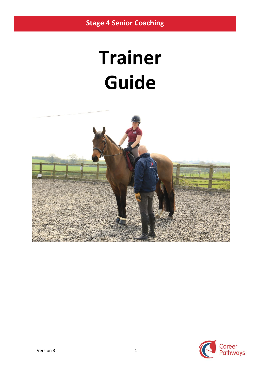# **Trainer Guide**



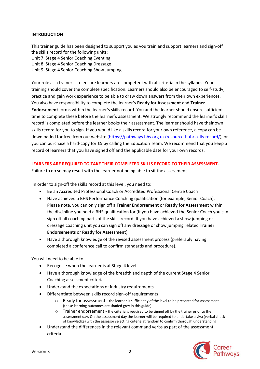#### **INTRODUCTION**

This trainer guide has been designed to support you as you train and support learners and sign-off the skills record for the following units: Unit 7: Stage 4 Senior Coaching Eventing Unit 8: Stage 4 Senior Coaching Dressage Unit 9: Stage 4 Senior Coaching Show Jumping

Your role as a trainer is to ensure learners are competent with all criteria in the syllabus. Your training should cover the complete specification. Learners should also be encouraged to self-study, practice and gain work experience to be able to draw down answers from their own experiences. You also have responsibility to complete the learner's **Ready for Assessment** and **Trainer Endorsement** forms within the learner's skills record. You and the learner should ensure sufficient time to complete these before the learner's assessment. We strongly recommend the learner's skills record is completed before the learner books their assessment. The learner should have their own skills record for you to sign. If you would like a skills record for your own reference, a copy can be downloaded for free from our website [\(https://pathways.bhs.org.uk/resource-hub/skills-record/\)](https://pathways.bhs.org.uk/resource-hub/skills-record/), or you can purchase a hard-copy for £5 by calling the Education Team. We recommend that you keep a record of learners that you have signed off and the applicable date for your own records.

#### **LEARNERS ARE REQUIRED TO TAKE THEIR COMPLETED SKILLS RECORD TO THEIR ASSESSMENT.**

Failure to do so may result with the learner not being able to sit the assessment.

In order to sign-off the skills record at this level, you need to:

- Be an Accredited Professional Coach or Accredited Professional Centre Coach
- Have achieved a BHS Performance Coaching qualification (for example, Senior Coach). Please note, you can only sign off a **Trainer Endorsement** or **Ready for Assessment** within the discipline you hold a BHS qualification for (if you have achieved the Senior Coach you can sign off all coaching parts of the skills record. If you have achieved a show jumping or dressage coaching unit you can sign off any dressage or show jumping related **Trainer Endorsements** or **Ready for Assessment**)
- Have a thorough knowledge of the revised assessment process (preferably having completed a conference call to confirm standards and procedure).

You will need to be able to:

- Recognise when the learner is at Stage 4 level
- Have a thorough knowledge of the breadth and depth of the current Stage 4 Senior Coaching assessment criteria
- Understand the expectations of industry requirements
- Differentiate between skills record sign-off requirements
	- o Ready for assessment the learner is sufficiently of the level to be presented for assessment (these learning outcomes are shaded grey in this guide)
	- o Trainer endorsement the criteria is required to be signed off by the trainer prior to the assessment day. On the assessment day the learner will be required to undertake a viva (verbal check of knowledge) with the assessor selecting criteria at random to confirm thorough understanding.
- Understand the differences in the relevant command verbs as part of the assessment criteria.

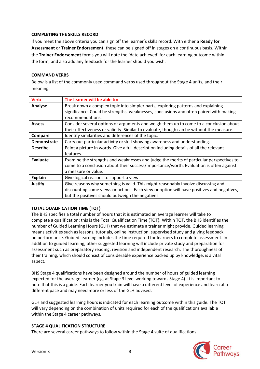#### **COMPLETING THE SKILLS RECORD**

If you meet the above criteria you can sign off the learner's skills record. With either a **Ready for Assessment** or **Trainer Endorsement**, these can be signed off in stages on a continuous basis. Within the **Trainer Endorsement** forms you will note the 'date achieved' for each learning outcome within the form, and also add any feedback for the learner should you wish.

#### **COMMAND VERBS**

Below is a list of the commonly used command verbs used throughout the Stage 4 units, and their meaning.

| <b>Verb</b>        | The learner will be able to:                                                              |
|--------------------|-------------------------------------------------------------------------------------------|
| Analyse            | Break down a complex topic into simpler parts, exploring patterns and explaining          |
|                    | significance. Could be strengths, weaknesses, conclusions and often paired with making    |
|                    | recommendations.                                                                          |
| <b>Assess</b>      | Consider several options or arguments and weigh them up to come to a conclusion about     |
|                    | their effectiveness or validity. Similar to evaluate, though can be without the measure.  |
| Compare            | Identify similarities and differences of the topic.                                       |
| <b>Demonstrate</b> | Carry out particular activity or skill showing awareness and understanding.               |
| <b>Describe</b>    | Paint a picture in words. Give a full description including details of all the relevant   |
|                    | features.                                                                                 |
| Evaluate           | Examine the strengths and weaknesses and judge the merits of particular perspectives to   |
|                    | come to a conclusion about their success/importance/worth. Evaluation is often against    |
|                    | a measure or value.                                                                       |
| <b>Explain</b>     | Give logical reasons to support a view.                                                   |
| <b>Justify</b>     | Give reasons why something is valid. This might reasonably involve discussing and         |
|                    | discounting some views or actions. Each view or option will have positives and negatives, |
|                    | but the positives should outweigh the negatives.                                          |

#### **TOTAL QUALIFICATION TIME (TQT)**

The BHS specifies a total number of hours that it is estimated an average learner will take to complete a qualification: this is the Total Qualification Time (TQT). Within TQT, the BHS identifies the number of Guided Learning Hours (GLH) that we estimate a trainer might provide. Guided learning means activities such as lessons, tutorials, online instruction, supervised study and giving feedback on performance. Guided learning includes the time required for learners to complete assessment. In addition to guided learning, other suggested learning will include private study and preparation for assessment such as preparatory reading, revision and independent research. The thoroughness of their training, which should consist of considerable experience backed up by knowledge, is a vital aspect.

BHS Stage 4 qualifications have been designed around the number of hours of guided learning expected for the average learner (eg, at Stage 3 level working towards Stage 4). It is important to note that this is a guide. Each learner you train will have a different level of experience and learn at a different pace and may need more or less of the GLH advised.

GLH and suggested learning hours is indicated for each learning outcome within this guide. The TQT will vary depending on the combination of units required for each of the qualifications available within the Stage 4 career pathways.

#### **STAGE 4 QUALIFICATION STRUCTURE**

There are several career pathways to follow within the Stage 4 suite of qualifications.

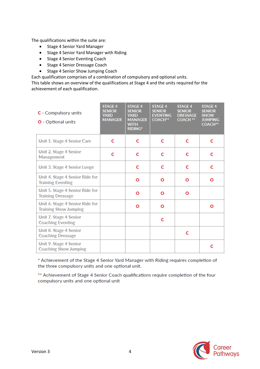The qualifications within the suite are:

- Stage 4 Senior Yard Manager
- Stage 4 Senior Yard Manager with Riding
- Stage 4 Senior Eventing Coach
- Stage 4 Senior Dressage Coach
- Stage 4 Senior Show Jumping Coach

Each qualification comprises of a combination of compulsory and optional units.

This table shows an overview of the qualifications at Stage 4 and the units required for the achievement of each qualification.

| C - Compulsory units<br>O - Optional units                      | <b>STAGE 4</b><br><b>SENIOR</b><br><b>YARD</b><br><b>MANAGER</b> | <b>STAGE 4</b><br><b>SENIOR</b><br><b>YARD</b><br><b>MANAGER</b><br><b>WITH</b><br><b>RIDING*</b> | <b>STAGE 4</b><br><b>SENIOR</b><br><b>EVENTING</b><br><b>COACH**</b> | <b>STAGE 4</b><br><b>SENIOR</b><br><b>DRESSAGE</b><br><b>COACH **</b> | <b>STAGE 4</b><br><b>SENIOR</b><br><b>SHOW</b><br><b>JUMPING</b><br><b>COACH**</b> |
|-----------------------------------------------------------------|------------------------------------------------------------------|---------------------------------------------------------------------------------------------------|----------------------------------------------------------------------|-----------------------------------------------------------------------|------------------------------------------------------------------------------------|
| Unit 1. Stage 4 Senior Care                                     | C                                                                | C                                                                                                 | C                                                                    | C                                                                     | C                                                                                  |
| Unit 2. Stage 4 Senior<br>Management                            | Ċ                                                                | c                                                                                                 | c                                                                    | C                                                                     | C                                                                                  |
| Unit 3. Stage 4 Senior Lunge                                    |                                                                  | c                                                                                                 | c                                                                    | C                                                                     | C                                                                                  |
| Unit 4. Stage 4 Senior Ride for<br><b>Training Eventing</b>     |                                                                  | Ο                                                                                                 | Ο                                                                    | Ο                                                                     | Ο                                                                                  |
| Unit 5. Stage 4 Senior Ride for<br><b>Training Dressage</b>     |                                                                  | Ο                                                                                                 | Ο                                                                    | Ο                                                                     |                                                                                    |
| Unit 6. Stage 4 Senior Ride for<br><b>Training Show Jumping</b> |                                                                  | О                                                                                                 | Ο                                                                    |                                                                       | Ο                                                                                  |
| Unit 7. Stage 4 Senior<br><b>Coaching Eventing</b>              |                                                                  |                                                                                                   | c                                                                    |                                                                       |                                                                                    |
| Unit 8. Stage 4 Senior<br><b>Coaching Dressage</b>              |                                                                  |                                                                                                   |                                                                      | С                                                                     |                                                                                    |
| Unit 9. Stage 4 Senior<br><b>Coaching Show Jumping</b>          |                                                                  |                                                                                                   |                                                                      |                                                                       | c                                                                                  |

\* Achievement of the Stage 4 Senior Yard Manager with Riding requires completion of the three compulsory units and one optional unit.

\*\* Achievement of Stage 4 Senior Coach qualifications require completion of the four compulsory units and one optional unit

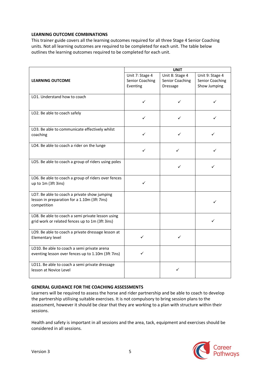#### **LEARNING OUTCOME COMBINATIONS**

This trainer guide covers all the learning outcomes required for all three Stage 4 Senior Coaching units. Not all learning outcomes are required to be completed for each unit. The table below outlines the learning outcomes required to be completed for each unit.

|                                                                                                             | <b>UNIT</b>                                    |                                                |                                                    |
|-------------------------------------------------------------------------------------------------------------|------------------------------------------------|------------------------------------------------|----------------------------------------------------|
| <b>LEARNING OUTCOME</b>                                                                                     | Unit 7: Stage 4<br>Senior Coaching<br>Eventing | Unit 8: Stage 4<br>Senior Coaching<br>Dressage | Unit 9: Stage 4<br>Senior Coaching<br>Show Jumping |
| LO1. Understand how to coach                                                                                | ✓                                              | ✓                                              | ✓                                                  |
| LO2. Be able to coach safely                                                                                | ✓                                              | ✓                                              |                                                    |
| LO3. Be able to communicate effectively whilst<br>coaching                                                  | ✓                                              | ✓                                              | ✓                                                  |
| LO4. Be able to coach a rider on the lunge                                                                  | ✓                                              | ✓                                              |                                                    |
| LO5. Be able to coach a group of riders using poles                                                         |                                                | ✓                                              |                                                    |
| LO6. Be able to coach a group of riders over fences<br>up to 1m (3ft 3ins)                                  | ✓                                              |                                                |                                                    |
| LO7. Be able to coach a private show jumping<br>lesson in preparation for a 1.10m (3ft 7ins)<br>competition |                                                |                                                | ✓                                                  |
| LO8. Be able to coach a semi private lesson using<br>grid work or related fences up to 1m (3ft 3ins)        |                                                |                                                | ✓                                                  |
| LO9. Be able to coach a private dressage lesson at<br>Elementary level                                      | ✓                                              | ✓                                              |                                                    |
| LO10. Be able to coach a semi private arena<br>eventing lesson over fences up to 1.10m (3ft 7ins)           | ✓                                              |                                                |                                                    |
| LO11. Be able to coach a semi private dressage<br>lesson at Novice Level                                    |                                                |                                                |                                                    |

#### **GENERAL GUIDANCE FOR THE COACHING ASSESSMENTS**

Learners will be required to assess the horse and rider partnership and be able to coach to develop the partnership utilising suitable exercises. It is not compulsory to bring session plans to the assessment, however it should be clear that they are working to a plan with structure within their sessions.

Health and safety is important in all sessions and the area, tack, equipment and exercises should be considered in all sessions.

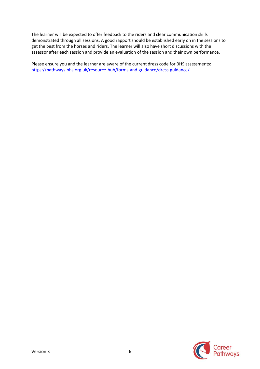The learner will be expected to offer feedback to the riders and clear communication skills demonstrated through all sessions. A good rapport should be established early on in the sessions to get the best from the horses and riders. The learner will also have short discussions with the assessor after each session and provide an evaluation of the session and their own performance.

Please ensure you and the learner are aware of the current dress code for BHS assessments: <https://pathways.bhs.org.uk/resource-hub/forms-and-guidance/dress-guidance/>

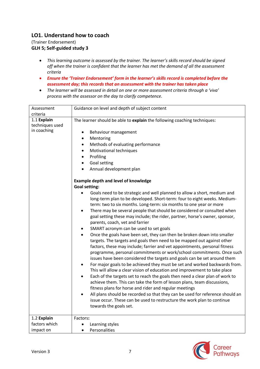## **LO1. Understand how to coach**

(Trainer Endorsement) **GLH 5; Self-guided study 3**

- *This learning outcome is assessed by the trainer. The learner's skills record should be signed off when the trainer is confident that the learner has met the demand of all the assessment criteria*
- *Ensure the 'Trainer Endorsement' form in the learner's skills record is completed before the assessment day; this records that an assessment with the trainer has taken place*
- *The learner will be assessed in detail on one or more assessment criteria through a 'viva' process with the assessor on the day to clarify competence.*

| Assessment                     | Guidance on level and depth of subject content                                        |
|--------------------------------|---------------------------------------------------------------------------------------|
| criteria                       |                                                                                       |
| 1.1 Explain<br>techniques used | The learner should be able to explain the following coaching techniques:              |
| in coaching                    | Behaviour management<br>٠                                                             |
|                                | Mentoring<br>$\bullet$                                                                |
|                                | Methods of evaluating performance                                                     |
|                                | Motivational techniques<br>$\bullet$                                                  |
|                                | Profiling<br>$\bullet$                                                                |
|                                | Goal setting<br>٠                                                                     |
|                                | Annual development plan<br>$\bullet$                                                  |
|                                | <b>Example depth and level of knowledge</b>                                           |
|                                | <b>Goal setting:</b>                                                                  |
|                                | Goals need to be strategic and well planned to allow a short, medium and<br>$\bullet$ |
|                                | long-term plan to be developed. Short-term: four to eight weeks. Medium-              |
|                                | term: two to six months. Long-term: six months to one year or more                    |
|                                | There may be several people that should be considered or consulted when<br>٠          |
|                                | goal setting these may include; the rider, partner, horse's owner, sponsor,           |
|                                | parents, coach, vet and farrier                                                       |
|                                | SMART acronym can be used to set goals                                                |
|                                | Once the goals have been set, they can then be broken down into smaller<br>$\bullet$  |
|                                | targets. The targets and goals then need to be mapped out against other               |
|                                | factors, these may include; farrier and vet appointments, personal fitness            |
|                                | programme, personal commitments or work/school commitments. Once such                 |
|                                | issues have been considered the targets and goals can be set around them              |
|                                | For major goals to be achieved they must be set and worked backwards from.            |
|                                | This will allow a clear vision of education and improvement to take place             |
|                                | Each of the targets set to reach the goals then need a clear plan of work to<br>٠     |
|                                | achieve them. This can take the form of lesson plans, team discussions,               |
|                                | fitness plans for horse and rider and regular meetings                                |
|                                | All plans should be recorded so that they can be used for reference should an         |
|                                | issue occur. These can be used to restructure the work plan to continue               |
|                                | towards the goals set.                                                                |
| 1.2 Explain                    | Factors:                                                                              |
| factors which                  | Learning styles<br>$\bullet$                                                          |
| impact on                      | Personalities<br>٠                                                                    |

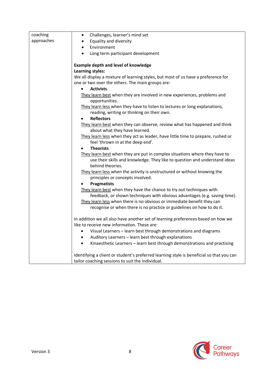| coaching<br>Challenges, learner's mind set<br>$\bullet$<br>approaches<br><b>Equality and diversity</b><br>Environment<br>$\bullet$<br>Long term participant development<br><b>Example depth and level of knowledge</b><br><b>Learning styles:</b><br>We all display a mixture of learning styles, but most of us have a preference for<br>one or two over the others. The main groups are:<br><b>Activists</b> |  |                                                                         |
|----------------------------------------------------------------------------------------------------------------------------------------------------------------------------------------------------------------------------------------------------------------------------------------------------------------------------------------------------------------------------------------------------------------|--|-------------------------------------------------------------------------|
|                                                                                                                                                                                                                                                                                                                                                                                                                |  |                                                                         |
|                                                                                                                                                                                                                                                                                                                                                                                                                |  |                                                                         |
|                                                                                                                                                                                                                                                                                                                                                                                                                |  |                                                                         |
|                                                                                                                                                                                                                                                                                                                                                                                                                |  |                                                                         |
|                                                                                                                                                                                                                                                                                                                                                                                                                |  |                                                                         |
|                                                                                                                                                                                                                                                                                                                                                                                                                |  |                                                                         |
|                                                                                                                                                                                                                                                                                                                                                                                                                |  |                                                                         |
|                                                                                                                                                                                                                                                                                                                                                                                                                |  |                                                                         |
|                                                                                                                                                                                                                                                                                                                                                                                                                |  |                                                                         |
|                                                                                                                                                                                                                                                                                                                                                                                                                |  |                                                                         |
|                                                                                                                                                                                                                                                                                                                                                                                                                |  | They learn best when they are involved in new experiences, problems and |
| opportunities.                                                                                                                                                                                                                                                                                                                                                                                                 |  |                                                                         |
| They learn less when they have to listen to lectures or long explanations,                                                                                                                                                                                                                                                                                                                                     |  |                                                                         |
| reading, writing or thinking on their own.                                                                                                                                                                                                                                                                                                                                                                     |  |                                                                         |
| <b>Reflectors</b>                                                                                                                                                                                                                                                                                                                                                                                              |  |                                                                         |
| They learn best when they can observe, review what has happened and think                                                                                                                                                                                                                                                                                                                                      |  |                                                                         |
| about what they have learned.                                                                                                                                                                                                                                                                                                                                                                                  |  |                                                                         |
| They learn less when they act as leader, have little time to prepare, rushed or                                                                                                                                                                                                                                                                                                                                |  |                                                                         |
| feel 'thrown in at the deep end'.                                                                                                                                                                                                                                                                                                                                                                              |  |                                                                         |
| <b>Theorists</b>                                                                                                                                                                                                                                                                                                                                                                                               |  |                                                                         |
| They learn best when they are put in complex situations where they have to                                                                                                                                                                                                                                                                                                                                     |  |                                                                         |
| use their skills and knowledge. They like to question and understand ideas                                                                                                                                                                                                                                                                                                                                     |  |                                                                         |
| behind theories.                                                                                                                                                                                                                                                                                                                                                                                               |  |                                                                         |
| They learn less when the activity is unstructured or without knowing the                                                                                                                                                                                                                                                                                                                                       |  |                                                                         |
| principles or concepts involved.                                                                                                                                                                                                                                                                                                                                                                               |  |                                                                         |
| <b>Pragmatists</b>                                                                                                                                                                                                                                                                                                                                                                                             |  |                                                                         |
| They learn best when they have the chance to try out techniques with                                                                                                                                                                                                                                                                                                                                           |  |                                                                         |
| feedback, or shown techniques with obvious advantages (e.g. saving time).                                                                                                                                                                                                                                                                                                                                      |  |                                                                         |
| They learn less when there is no obvious or immediate benefit they can                                                                                                                                                                                                                                                                                                                                         |  |                                                                         |
| recognise or when there is no practice or guidelines on how to do it.                                                                                                                                                                                                                                                                                                                                          |  |                                                                         |
| In addition we all also have another set of learning preferences based on how we                                                                                                                                                                                                                                                                                                                               |  |                                                                         |
| like to receive new information. These are:                                                                                                                                                                                                                                                                                                                                                                    |  |                                                                         |
| Visual Learners - learn best through demonstrations and diagrams                                                                                                                                                                                                                                                                                                                                               |  |                                                                         |
| Auditory Learners - learn best through explanations                                                                                                                                                                                                                                                                                                                                                            |  |                                                                         |
| Kinaesthetic Learners - learn best through demonstrations and practising                                                                                                                                                                                                                                                                                                                                       |  |                                                                         |
|                                                                                                                                                                                                                                                                                                                                                                                                                |  |                                                                         |
| Identifying a client or student's preferred learning style is beneficial so that you can                                                                                                                                                                                                                                                                                                                       |  |                                                                         |
| tailor coaching sessions to suit the individual.                                                                                                                                                                                                                                                                                                                                                               |  |                                                                         |

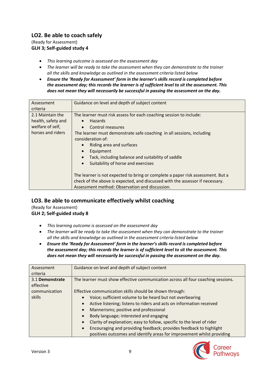## **LO2. Be able to coach safely**

(Ready for Assessment) **GLH 3; Self-guided study 4**

- *This learning outcome is assessed on the assessment day*
- *The learner will be ready to take the assessment when they can demonstrate to the trainer all the skills and knowledge as outlined in the assessment criteria listed below*
- *Ensure the 'Ready for Assessment' form in the learner's skills record is completed before the assessment day; this records the learner is of sufficient level to sit the assessment. This does not mean they will necessarily be successful in passing the assessment on the day.*

| Assessment<br>criteria                                                          | Guidance on level and depth of subject content                                                                                                                                                                                                                                                                                                                                                                           |
|---------------------------------------------------------------------------------|--------------------------------------------------------------------------------------------------------------------------------------------------------------------------------------------------------------------------------------------------------------------------------------------------------------------------------------------------------------------------------------------------------------------------|
| 2.1 Maintain the<br>health, safety and<br>welfare of self,<br>horses and riders | The learner must risk assess for each coaching session to include:<br><b>Hazards</b><br>$\bullet$<br>Control measures<br>$\bullet$<br>The learner must demonstrate safe coaching in all sessions, including<br>consideration of:<br>Riding area and surfaces<br>$\bullet$<br>Equipment<br>$\bullet$<br>Tack, including balance and suitability of saddle<br>$\bullet$<br>Suitability of horse and exercises<br>$\bullet$ |
|                                                                                 | The learner is not expected to bring or complete a paper risk assessment. But a<br>check of the above is expected, and discussed with the assessor if necessary.<br>Assessment method: Observation and discussion.                                                                                                                                                                                                       |

## **LO3. Be able to communicate effectively whilst coaching**

(Ready for Assessment)

**GLH 2; Self-guided study 8**

- *This learning outcome is assessed on the assessment day*
- *The learner will be ready to take the assessment when they can demonstrate to the trainer all the skills and knowledge as outlined in the assessment criteria listed below*
- *Ensure the 'Ready for Assessment' form in the learner's skills record is completed before the assessment day; this records the learner is of sufficient level to sit the assessment. This does not mean they will necessarily be successful in passing the assessment on the day.*

| Assessment      | Guidance on level and depth of subject content                                                                                                            |
|-----------------|-----------------------------------------------------------------------------------------------------------------------------------------------------------|
| criteria        |                                                                                                                                                           |
| 3.1 Demonstrate | The learner must show effective communication across all four coaching sessions.                                                                          |
| effective       |                                                                                                                                                           |
| communication   | Effective communication skills should be shown through:                                                                                                   |
| skills          | Voice; sufficient volume to be heard but not overbearing<br>$\bullet$                                                                                     |
|                 | Active listening; listens to riders and acts on information received<br>$\bullet$                                                                         |
|                 | Mannerisms; positive and professional<br>$\bullet$                                                                                                        |
|                 | Body language; interested and engaging<br>$\bullet$                                                                                                       |
|                 | Clarity of explanation; easy to follow, specific to the level of rider<br>$\bullet$                                                                       |
|                 | Encouraging and providing feedback; provides feedback to highlight<br>$\bullet$<br>positives outcomes and identify areas for improvement whilst providing |

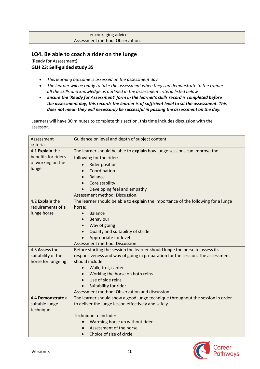| encouraging advice.             |
|---------------------------------|
| Assessment method: Observation. |

## **LO4. Be able to coach a rider on the lunge**

(Ready for Assessment) **GLH 23; Self-guided study 35**

- *This learning outcome is assessed on the assessment day*
- *The learner will be ready to take the assessment when they can demonstrate to the trainer all the skills and knowledge as outlined in the assessment criteria listed below*
- *Ensure the 'Ready for Assessment' form in the learner's skills record is completed before the assessment day; this records the learner is of sufficient level to sit the assessment. This does not mean they will necessarily be successful in passing the assessment on the day.*

| Assessment<br>criteria                                               | Guidance on level and depth of subject content                                                                                                                                                                                |
|----------------------------------------------------------------------|-------------------------------------------------------------------------------------------------------------------------------------------------------------------------------------------------------------------------------|
| 4.1 Explain the<br>benefits for riders<br>of working on the<br>lunge | The learner should be able to explain how lunge sessions can improve the<br>following for the rider:<br><b>Rider position</b><br>Coordination<br><b>Balance</b><br>Core stability<br>$\bullet$<br>Developing feel and empathy |
|                                                                      | Assessment method: Discussion.                                                                                                                                                                                                |
| 4.2 Explain the                                                      | The learner should be able to explain the importance of the following for a lunge                                                                                                                                             |
| requirements of a<br>lunge horse                                     | horse:<br><b>Balance</b><br>$\bullet$<br>Behaviour                                                                                                                                                                            |
|                                                                      | Way of going<br>$\bullet$                                                                                                                                                                                                     |
|                                                                      | Quality and suitability of stride<br>$\bullet$                                                                                                                                                                                |
|                                                                      | Appropriate for level                                                                                                                                                                                                         |
|                                                                      | Assessment method: Discussion.                                                                                                                                                                                                |
| 4.3 Assess the<br>suitability of the<br>horse for lungeing           | Before starting the session the learner should lunge the horse to assess its<br>responsiveness and way of going in preparation for the session. The assessment<br>should include:                                             |
|                                                                      | Walk, trot, canter                                                                                                                                                                                                            |
|                                                                      | Working the horse on both reins                                                                                                                                                                                               |
|                                                                      | Use of side reins<br>$\bullet$                                                                                                                                                                                                |
|                                                                      | Suitability for rider                                                                                                                                                                                                         |
| 4.4 Demonstrate a                                                    | Assessment method: Observation and discussion.<br>The learner should show a good lunge technique throughout the session in order                                                                                              |
| suitable lunge<br>technique                                          | to deliver the lunge lesson effectively and safely.                                                                                                                                                                           |
|                                                                      | Technique to include:                                                                                                                                                                                                         |
|                                                                      | Warming horse up without rider                                                                                                                                                                                                |
|                                                                      | Assessment of the horse                                                                                                                                                                                                       |
|                                                                      | Choice of size of circle                                                                                                                                                                                                      |

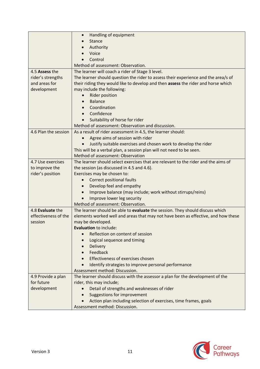|                      | Handling of equipment<br>$\bullet$                                                 |
|----------------------|------------------------------------------------------------------------------------|
|                      | <b>Stance</b>                                                                      |
|                      | Authority                                                                          |
|                      | Voice                                                                              |
|                      | Control                                                                            |
|                      | Method of assessment: Observation.                                                 |
| 4.5 Assess the       | The learner will coach a rider of Stage 3 level.                                   |
| rider's strengths    | The learner should question the rider to assess their experience and the area/s of |
| and areas for        | their riding they would like to develop and then assess the rider and horse which  |
| development          | may include the following:                                                         |
|                      | Rider position                                                                     |
|                      | <b>Balance</b>                                                                     |
|                      | Coordination                                                                       |
|                      | Confidence                                                                         |
|                      | Suitability of horse for rider                                                     |
|                      | Method of assessment: Observation and discussion.                                  |
| 4.6 Plan the session | As a result of rider assessment in 4.5, the learner should:                        |
|                      | Agree aims of session with rider                                                   |
|                      | Justify suitable exercises and chosen work to develop the rider                    |
|                      | This will be a verbal plan, a session plan will not need to be seen.               |
|                      | Method of assessment: Observation                                                  |
| 4.7 Use exercises    | The learner should select exercises that are relevant to the rider and the aims of |
| to improve the       | the session (as discussed in 4.5 and 4.6).                                         |
| rider's position     | Exercises may be chosen to:                                                        |
|                      | <b>Correct positional faults</b>                                                   |
|                      | Develop feel and empathy                                                           |
|                      | Improve balance (may include; work without stirrups/reins)<br>$\bullet$            |
|                      | Improve lower leg security                                                         |
|                      | Method of assessment: Observation.                                                 |
| 4.8 Evaluate the     |                                                                                    |
| effectiveness of the | The learner should be able to evaluate the session. They should discuss which      |
|                      | elements worked well and areas that may not have been as effective, and how these  |
| session              | may be developed.                                                                  |
|                      | <b>Evaluation to include:</b><br>Reflection on content of session                  |
|                      |                                                                                    |
|                      | Logical sequence and timing                                                        |
|                      | Delivery                                                                           |
|                      | Feedback                                                                           |
|                      | Effectiveness of exercises chosen                                                  |
|                      | Identify strategies to improve personal performance                                |
|                      | Assessment method: Discussion.                                                     |
| 4.9 Provide a plan   | The learner should discuss with the assessor a plan for the development of the     |
| for future           | rider, this may include;                                                           |
| development          | Detail of strengths and weaknesses of rider                                        |
|                      | <b>Suggestions for improvement</b>                                                 |
|                      | Action plan including selection of exercises, time frames, goals                   |
|                      | Assessment method: Discussion.                                                     |

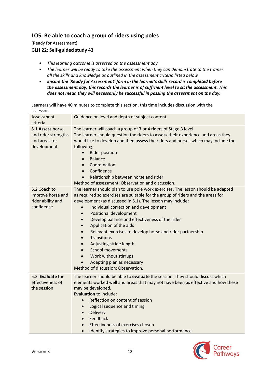## **LO5. Be able to coach a group of riders using poles**

(Ready for Assessment)

#### **GLH 22; Self-guided study 43**

- *This learning outcome is assessed on the assessment day*
- *The learner will be ready to take the assessment when they can demonstrate to the trainer all the skills and knowledge as outlined in the assessment criteria listed below*
- *Ensure the 'Ready for Assessment' form in the learner's skills record is completed before the assessment day; this records the learner is of sufficient level to sit the assessment. This does not mean they will necessarily be successful in passing the assessment on the day.*

| Assessment          | Guidance on level and depth of subject content                                    |
|---------------------|-----------------------------------------------------------------------------------|
| criteria            |                                                                                   |
| 5.1 Assess horse    | The learner will coach a group of 3 or 4 riders of Stage 3 level.                 |
| and rider strengths | The learner should question the riders to assess their experience and areas they  |
| and areas for       | would like to develop and then assess the riders and horses which may include the |
| development         | following:                                                                        |
|                     | Rider position<br>$\bullet$                                                       |
|                     | <b>Balance</b>                                                                    |
|                     | Coordination                                                                      |
|                     | Confidence                                                                        |
|                     | Relationship between horse and rider                                              |
|                     | Method of assessment: Observation and discussion.                                 |
| 5.2 Coach to        | The learner should plan to use pole work exercises. The lesson should be adapted  |
| improve horse and   | as required so exercises are suitable for the group of riders and the areas for   |
| rider ability and   | development (as discussed in 5.1). The lesson may include:                        |
| confidence          | Individual correction and development<br>$\bullet$                                |
|                     | Positional development<br>$\bullet$                                               |
|                     | Develop balance and effectiveness of the rider<br>$\bullet$                       |
|                     | Application of the aids<br>$\bullet$                                              |
|                     | Relevant exercises to develop horse and rider partnership<br>$\bullet$            |
|                     | Transitions<br>$\bullet$                                                          |
|                     | Adjusting stride length<br>$\bullet$                                              |
|                     | <b>School movements</b><br>$\bullet$                                              |
|                     | Work without stirrups<br>$\bullet$                                                |
|                     | Adapting plan as necessary                                                        |
|                     | Method of discussion: Observation.                                                |
| 5.3 Evaluate the    | The learner should be able to evaluate the session. They should discuss which     |
| effectiveness of    | elements worked well and areas that may not have been as effective and how these  |
| the session         | may be developed.                                                                 |
|                     | Evaluation to include:                                                            |
|                     | Reflection on content of session<br>$\bullet$                                     |
|                     | Logical sequence and timing<br>$\bullet$                                          |
|                     | Delivery<br>$\bullet$                                                             |
|                     | Feedback<br>$\bullet$                                                             |
|                     | Effectiveness of exercises chosen                                                 |
|                     | Identify strategies to improve personal performance<br>$\bullet$                  |

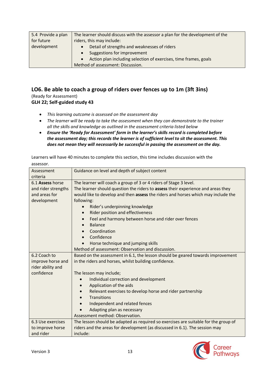| 5.4 Provide a plan | The learner should discuss with the assessor a plan for the development of the |
|--------------------|--------------------------------------------------------------------------------|
| for future         | riders, this may include:                                                      |
| development        | Detail of strengths and weaknesses of riders                                   |
|                    | Suggestions for improvement                                                    |
|                    | Action plan including selection of exercises, time frames, goals               |
|                    | Method of assessment: Discussion.                                              |

## **LO6. Be able to coach a group of riders over fences up to 1m (3ft 3ins)**

(Ready for Assessment) **GLH 22; Self-guided study 43**

- *This learning outcome is assessed on the assessment day*
- *The learner will be ready to take the assessment when they can demonstrate to the trainer all the skills and knowledge as outlined in the assessment criteria listed below*
- *Ensure the 'Ready for Assessment' form in the learner's skills record is completed before the assessment day; this records the learner is of sufficient level to sit the assessment. This does not mean they will necessarily be successful in passing the assessment on the day.*

| Assessment<br>criteria                                                  | Guidance on level and depth of subject content                                                                                                                                                                                                                                                                                                                                                                                                            |
|-------------------------------------------------------------------------|-----------------------------------------------------------------------------------------------------------------------------------------------------------------------------------------------------------------------------------------------------------------------------------------------------------------------------------------------------------------------------------------------------------------------------------------------------------|
| 6.1 Assess horse<br>and rider strengths<br>and areas for<br>development | The learner will coach a group of 3 or 4 riders of Stage 3 level.<br>The learner should question the riders to assess their experience and areas they<br>would like to develop and then assess the riders and horses which may include the<br>following:<br>Rider's underpinning knowledge<br>$\bullet$<br><b>Rider position and effectiveness</b><br>$\bullet$<br>Feel and harmony between horse and rider over fences<br><b>Balance</b><br>Coordination |
|                                                                         | Confidence<br>Horse technique and jumping skills<br>Method of assessment: Observation and discussion.                                                                                                                                                                                                                                                                                                                                                     |
| 6.2 Coach to<br>improve horse and<br>rider ability and                  | Based on the assessment in 6.1, the lesson should be geared towards improvement<br>in the riders and horses, whilst building confidence.                                                                                                                                                                                                                                                                                                                  |
| confidence                                                              | The lesson may include;<br>Individual correction and development<br>Application of the aids<br>Relevant exercises to develop horse and rider partnership<br><b>Transitions</b><br>Independent and related fences<br>Adapting plan as necessary<br>Assessment method: Observation.                                                                                                                                                                         |
| 6.3 Use exercises<br>to improve horse<br>and rider                      | The lesson should be adapted as required so exercises are suitable for the group of<br>riders and the areas for development (as discussed in 6.1). The session may<br>include:                                                                                                                                                                                                                                                                            |

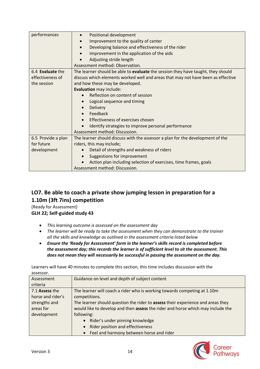| performances       | Positional development<br>$\bullet$                                              |
|--------------------|----------------------------------------------------------------------------------|
|                    | Improvement to the quality of canter                                             |
|                    | Developing balance and effectiveness of the rider                                |
|                    | Improvement in the application of the aids                                       |
|                    |                                                                                  |
|                    | Adjusting stride length                                                          |
|                    | Assessment method: Observation.                                                  |
| 6.4 Evaluate the   | The learner should be able to evaluate the session they have taught, they should |
| effectiveness of   | discuss which elements worked well and areas that may not have been as effective |
| the session        | and how these may be developed.                                                  |
|                    | Evaluation may include:                                                          |
|                    | Reflection on content of session                                                 |
|                    | Logical sequence and timing                                                      |
|                    | Delivery                                                                         |
|                    | Feedback                                                                         |
|                    | Effectiveness of exercises chosen                                                |
|                    | Identify strategies to improve personal performance<br>$\bullet$                 |
|                    | Assessment method: Discussion.                                                   |
| 6.5 Provide a plan | The learner should discuss with the assessor a plan for the development of the   |
| for future         | riders, this may include;                                                        |
| development        | Detail of strengths and weakness of riders<br>$\bullet$                          |
|                    | Suggestions for improvement                                                      |
|                    | Action plan including selection of exercises, time frames, goals                 |
|                    | Assessment method: Discussion.                                                   |

## **LO7. Be able to coach a private show jumping lesson in preparation for a 1.10m (3ft 7ins) competition**

(Ready for Assessment) **GLH 22; Self-guided study 43**

- *This learning outcome is assessed on the assessment day*
- *The learner will be ready to take the assessment when they can demonstrate to the trainer all the skills and knowledge as outlined in the assessment criteria listed below*
- *Ensure the 'Ready for Assessment' form in the learner's skills record is completed before the assessment day; this records the learner is of sufficient level to sit the assessment. This does not mean they will necessarily be successful in passing the assessment on the day.*

| Assessment        | Guidance on level and depth of subject content                                  |
|-------------------|---------------------------------------------------------------------------------|
| criteria          |                                                                                 |
| 7.1 Assess the    | The learner will coach a rider who is working towards competing at 1.10m        |
| horse and rider's | competitions.                                                                   |
| strengths and     | The learner should question the rider to assess their experience and areas they |
| areas for         | would like to develop and then assess the rider and horse which may include the |
| development       | following:                                                                      |
|                   | Rider's under pinning knowledge<br>$\bullet$                                    |
|                   | Rider position and effectiveness                                                |
|                   | • Feel and harmony between horse and rider                                      |

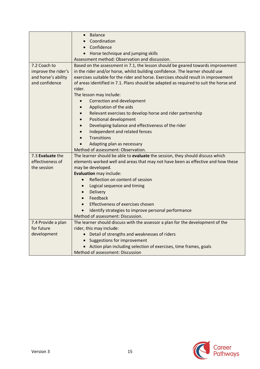|                     | Balance<br>$\bullet$                                                                  |
|---------------------|---------------------------------------------------------------------------------------|
|                     | Coordination                                                                          |
|                     | Confidence<br>$\bullet$                                                               |
|                     | • Horse technique and jumping skills                                                  |
|                     | Assessment method: Observation and discussion.                                        |
| 7.2 Coach to        | Based on the assessment in 7.1, the lesson should be geared towards improvement       |
| improve the rider's | in the rider and/or horse, whilst building confidence. The learner should use         |
| and horse's ability | exercises suitable for the rider and horse. Exercises should result in improvement    |
| and confidence      | of areas identified in 7.1. Plans should be adapted as required to suit the horse and |
|                     | rider.                                                                                |
|                     | The lesson may include:                                                               |
|                     | Correction and development                                                            |
|                     |                                                                                       |
|                     | Application of the aids<br>$\bullet$                                                  |
|                     | Relevant exercises to develop horse and rider partnership                             |
|                     | Positional development                                                                |
|                     | Developing balance and effectiveness of the rider                                     |
|                     | Independent and related fences                                                        |
|                     | <b>Transitions</b>                                                                    |
|                     | Adapting plan as necessary<br>$\bullet$                                               |
|                     | Method of assessment: Observation.                                                    |
| 7.3 Evaluate the    | The learner should be able to evaluate the session, they should discuss which         |
| effectiveness of    | elements worked well and areas that may not have been as effective and how these      |
| the session         | may be developed.                                                                     |
|                     | Evaluation may include:                                                               |
|                     | Reflection on content of session                                                      |
|                     | Logical sequence and timing<br>$\bullet$                                              |
|                     | Delivery<br>$\bullet$                                                                 |
|                     | Feedback<br>$\bullet$                                                                 |
|                     | Effectiveness of exercises chosen<br>$\bullet$                                        |
|                     | Identify strategies to improve personal performance                                   |
|                     | Method of assessment: Discussion.                                                     |
| 7.4 Provide a plan  | The learner should discuss with the assessor a plan for the development of the        |
| for future          | rider, this may include:                                                              |
| development         | • Detail of strengths and weaknesses of riders                                        |
|                     | • Suggestions for improvement                                                         |
|                     | Action plan including selection of exercises, time frames, goals                      |
|                     | Method of assessment: Discussion                                                      |

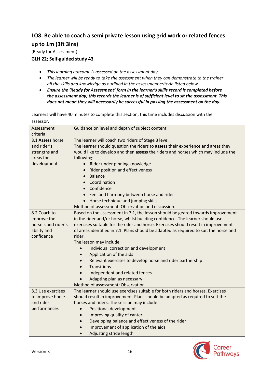## **LO8. Be able to coach a semi private lesson using grid work or related fences up to 1m (3ft 3ins)**

(Ready for Assessment)

## **GLH 22; Self-guided study 43**

- *This learning outcome is assessed on the assessment day*
- *The learner will be ready to take the assessment when they can demonstrate to the trainer all the skills and knowledge as outlined in the assessment criteria listed below*
- *Ensure the 'Ready for Assessment' form in the learner's skills record is completed before the assessment day; this records the learner is of sufficient level to sit the assessment. This does not mean they will necessarily be successful in passing the assessment on the day.*

| Assessment          | Guidance on level and depth of subject content                                        |
|---------------------|---------------------------------------------------------------------------------------|
| criteria            |                                                                                       |
| 8.1 Assess horse    | The learner will coach two riders of Stage 3 level.                                   |
| and rider's         | The learner should question the riders to assess their experience and areas they      |
| strengths and       | would like to develop and then assess the riders and horses which may include the     |
| areas for           | following:                                                                            |
| development         | Rider under pinning knowledge<br>$\bullet$                                            |
|                     | Rider position and effectiveness                                                      |
|                     | <b>Balance</b><br>$\bullet$                                                           |
|                     | Coordination                                                                          |
|                     | • Confidence                                                                          |
|                     | Feel and harmony between horse and rider                                              |
|                     | Horse technique and jumping skills                                                    |
|                     | Method of assessment: Observation and discussion.                                     |
| 8.2 Coach to        | Based on the assessment in 7.1, the lesson should be geared towards improvement       |
| improve the         | in the rider and/or horse, whilst building confidence. The learner should use         |
| horse's and rider's | exercises suitable for the rider and horse. Exercises should result in improvement    |
| ability and         | of areas identified in 7.1. Plans should be adapted as required to suit the horse and |
| confidence          | rider.                                                                                |
|                     | The lesson may include;                                                               |
|                     | Individual correction and development<br>$\bullet$                                    |
|                     | Application of the aids<br>$\bullet$                                                  |
|                     | Relevant exercises to develop horse and rider partnership                             |
|                     | <b>Transitions</b><br>$\bullet$                                                       |
|                     | Independent and related fences<br>$\bullet$                                           |
|                     | Adapting plan as necessary                                                            |
|                     | Method of assessment: Observation.                                                    |
| 8.3 Use exercises   | The learner should use exercises suitable for both riders and horses. Exercises       |
| to improve horse    | should result in improvement. Plans should be adapted as required to suit the         |
| and rider           | horses and riders. The session may include:                                           |
| performances        | Positional development<br>$\bullet$                                                   |
|                     | Improving quality of canter<br>$\bullet$                                              |
|                     | Developing balance and effectiveness of the rider<br>$\bullet$                        |
|                     | Improvement of application of the aids<br>$\bullet$                                   |
|                     | Adjusting stride length<br>$\bullet$                                                  |

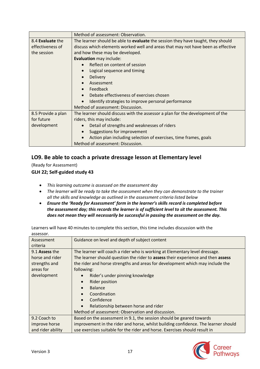|                    | Method of assessment: Observation.                                               |
|--------------------|----------------------------------------------------------------------------------|
| 8.4 Evaluate the   | The learner should be able to evaluate the session they have taught, they should |
| effectiveness of   | discuss which elements worked well and areas that may not have been as effective |
| the session        | and how these may be developed.                                                  |
|                    | <b>Evaluation may include:</b>                                                   |
|                    | Reflect on content of session                                                    |
|                    | Logical sequence and timing                                                      |
|                    | <b>Delivery</b>                                                                  |
|                    | Assessment                                                                       |
|                    | Feedback<br>$\bullet$                                                            |
|                    | Debate effectiveness of exercises chosen                                         |
|                    | Identify strategies to improve personal performance                              |
|                    | Method of assessment: Discussion.                                                |
| 8.5 Provide a plan | The learner should discuss with the assessor a plan for the development of the   |
| for future         | riders, this may include:                                                        |
| development        | Detail of strengths and weaknesses of riders<br>$\bullet$                        |
|                    | Suggestions for improvement                                                      |
|                    | Action plan including selection of exercises, time frames, goals                 |
|                    | Method of assessment: Discussion.                                                |

## **LO9. Be able to coach a private dressage lesson at Elementary level**

(Ready for Assessment)

## **GLH 22; Self-guided study 43**

- *This learning outcome is assessed on the assessment day*
- *The learner will be ready to take the assessment when they can demonstrate to the trainer all the skills and knowledge as outlined in the assessment criteria listed below*
- *Ensure the 'Ready for Assessment' form in the learner's skills record is completed before the assessment day; this records the learner is of sufficient level to sit the assessment. This does not mean they will necessarily be successful in passing the assessment on the day.*

| Assessment        | Guidance on level and depth of subject content                                     |
|-------------------|------------------------------------------------------------------------------------|
| criteria          |                                                                                    |
| 9.1 Assess the    | The learner will coach a rider who is working at Elementary level dressage.        |
| horse and rider   | The learner should question the rider to assess their experience and then assess   |
| strengths and     | the rider and horse strengths and areas for development which may include the      |
| areas for         | following:                                                                         |
| development       | Rider's under pinning knowledge<br>$\bullet$                                       |
|                   | <b>Rider position</b>                                                              |
|                   | <b>Balance</b>                                                                     |
|                   | Coordination                                                                       |
|                   | Confidence                                                                         |
|                   | Relationship between horse and rider                                               |
|                   | Method of assessment: Observation and discussion.                                  |
| 9.2 Coach to      | Based on the assessment in 9.1, the session should be geared towards               |
| improve horse     | improvement in the rider and horse, whilst building confidence. The learner should |
| and rider ability | use exercises suitable for the rider and horse. Exercises should result in         |

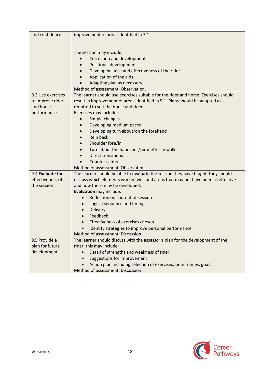| and confidence    | improvement of areas identified in 7.1.                                                  |
|-------------------|------------------------------------------------------------------------------------------|
|                   |                                                                                          |
|                   | The session may include;                                                                 |
|                   | Correction and development                                                               |
|                   | Positional development                                                                   |
|                   | Develop balance and effectiveness of the rider                                           |
|                   | Application of the aids                                                                  |
|                   | Adapting plan as necessary                                                               |
|                   | Method of assessment: Observation.                                                       |
| 9.3 Use exercises | The learner should use exercises suitable for the rider and horse. Exercises should      |
| to improve rider  | result in improvement of areas identified in 9.1. Plans should be adapted as             |
| and horse         | required to suit the horse and rider.                                                    |
| performance       | Exercises may include :                                                                  |
|                   | Simple changes                                                                           |
|                   | Developing medium paces                                                                  |
|                   | Developing turn about/on the forehand                                                    |
|                   | Rein back                                                                                |
|                   | Shoulder fore/in                                                                         |
|                   | Turn about the haunches/pirouettes in walk                                               |
|                   | <b>Direct transitions</b>                                                                |
|                   | Counter canter                                                                           |
|                   | Method of assessment: Observation.                                                       |
| 9.4 Evaluate the  | The learner should be able to evaluate the session they have taught, they should         |
| effectiveness of  | discuss which elements worked well and areas that may not have been as effective         |
| the session       | and how these may be developed.                                                          |
|                   | Evaluation may include:                                                                  |
|                   | Reflection on content of session<br>$\bullet$                                            |
|                   | Logical sequence and timing                                                              |
|                   | Delivery                                                                                 |
|                   | Feedback                                                                                 |
|                   | Effectiveness of exercises chosen                                                        |
|                   | Identify strategies to improve personal performance<br>Method of assessment: Discussion. |
| 9.5 Provide a     | The learner should discuss with the assessor a plan for the development of the           |
| plan for future   | rider, this may include;                                                                 |
| development       | Detail of strengths and weakness of rider                                                |
|                   | Suggestions for improvement                                                              |
|                   | Action plan including selection of exercises, time frames, goals                         |
|                   | Method of assessment: Discussion.                                                        |

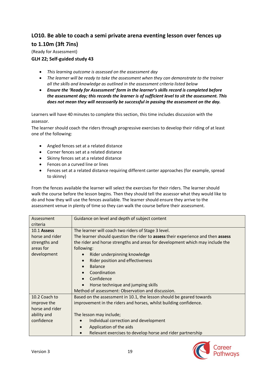## **LO10. Be able to coach a semi private arena eventing lesson over fences up to 1.10m (3ft 7ins)**

(Ready for Assessment)

## **GLH 22; Self-guided study 43**

- *This learning outcome is assessed on the assessment day*
- *The learner will be ready to take the assessment when they can demonstrate to the trainer all the skills and knowledge as outlined in the assessment criteria listed below*
- *Ensure the 'Ready for Assessment' form in the learner's skills record is completed before the assessment day; this records the learner is of sufficient level to sit the assessment. This does not mean they will necessarily be successful in passing the assessment on the day.*

Learners will have 40 minutes to complete this section, this time includes discussion with the assessor.

The learner should coach the riders through progressive exercises to develop their riding of at least one of the following:

- Angled fences set at a related distance
- Corner fences set at a related distance
- Skinny fences set at a related distance
- Fences on a curved line or lines
- Fences set at a related distance requiring different canter approaches (for example, spread to skinny)

From the fences available the learner will select the exercises for their riders. The learner should walk the course before the lesson begins. Then they should tell the assessor what they would like to do and how they will use the fences available. The learner should ensure they arrive to the assessment venue in plenty of time so they can walk the course before their assessment.

| Assessment      | Guidance on level and depth of subject content                                                 |
|-----------------|------------------------------------------------------------------------------------------------|
| criteria        |                                                                                                |
| 10.1 Assess     | The learner will coach two riders of Stage 3 level.                                            |
| horse and rider | The learner should question the rider to <b>assess</b> their experience and then <b>assess</b> |
| strengths and   | the rider and horse strengths and areas for development which may include the                  |
| areas for       | following:                                                                                     |
| development     | Rider underpinning knowledge<br>$\bullet$                                                      |
|                 | Rider position and effectiveness<br>$\bullet$                                                  |
|                 | <b>Balance</b>                                                                                 |
|                 | Coordination<br>$\bullet$                                                                      |
|                 | Confidence                                                                                     |
|                 | Horse technique and jumping skills                                                             |
|                 | Method of assessment: Observation and discussion.                                              |
| 10.2 Coach to   | Based on the assessment in 10.1, the lesson should be geared towards                           |
| improve the     | improvement in the riders and horses, whilst building confidence.                              |
| horse and rider |                                                                                                |
| ability and     | The lesson may include;                                                                        |
| confidence      | Individual correction and development                                                          |
|                 | Application of the aids                                                                        |
|                 | Relevant exercises to develop horse and rider partnership                                      |

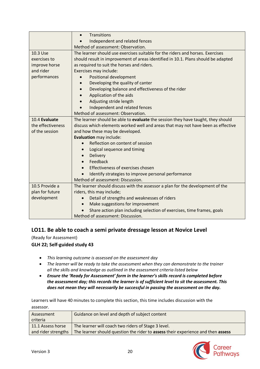|                   | Transitions<br>$\bullet$                                                          |
|-------------------|-----------------------------------------------------------------------------------|
|                   | Independent and related fences                                                    |
|                   | Method of assessment: Observation.                                                |
| 10.3 Use          | The learner should use exercises suitable for the riders and horses. Exercises    |
| exercises to      | should result in improvement of areas identified in 10.1. Plans should be adapted |
| improve horse     | as required to suit the horses and riders.                                        |
| and rider         | Exercises may include:                                                            |
| performances      | Positional development                                                            |
|                   | Developing the quality of canter                                                  |
|                   | Developing balance and effectiveness of the rider                                 |
|                   | Application of the aids                                                           |
|                   | Adjusting stride length                                                           |
|                   | Independent and related fences                                                    |
|                   | Method of assessment: Observation.                                                |
| 10.4 Evaluate     | The learner should be able to evaluate the session they have taught, they should  |
| the effectiveness | discuss which elements worked well and areas that may not have been as effective  |
| of the session    | and how these may be developed.                                                   |
|                   | Evaluation may include:                                                           |
|                   | Reflection on content of session                                                  |
|                   | Logical sequence and timing                                                       |
|                   | Delivery                                                                          |
|                   | Feedback                                                                          |
|                   | Effectiveness of exercises chosen                                                 |
|                   | Identify strategies to improve personal performance                               |
|                   | Method of assessment: Discussion.                                                 |
| 10.5 Provide a    | The learner should discuss with the assessor a plan for the development of the    |
| plan for future   | riders, this may include;                                                         |
| development       | Detail of strengths and weaknesses of riders<br>$\bullet$                         |
|                   | Make suggestions for improvement<br>$\bullet$                                     |
|                   | Share action plan including selection of exercises, time frames, goals            |
|                   | Method of assessment: Discussion.                                                 |

## **LO11. Be able to coach a semi private dressage lesson at Novice Level**

(Ready for Assessment)

## **GLH 22; Self-guided study 43**

- *This learning outcome is assessed on the assessment day*
- *The learner will be ready to take the assessment when they can demonstrate to the trainer all the skills and knowledge as outlined in the assessment criteria listed below*
- *Ensure the 'Ready for Assessment' form in the learner's skills record is completed before the assessment day; this records the learner is of sufficient level to sit the assessment. This does not mean they will necessarily be successful in passing the assessment on the day.*

| Assessment          | Guidance on level and depth of subject content                                   |
|---------------------|----------------------------------------------------------------------------------|
| criteria            |                                                                                  |
| 11.1 Assess horse   | The learner will coach two riders of Stage 3 level.                              |
| and rider strengths | The learner should question the rider to assess their experience and then assess |
|                     |                                                                                  |